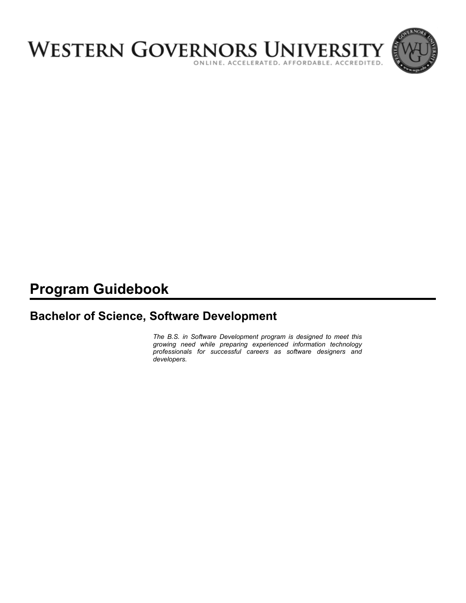

# **Program Guidebook**

# **Bachelor of Science, Software Development**

*The B.S. in Software Development program is designed to meet this growing need while preparing experienced information technology professionals for successful careers as software designers and developers.*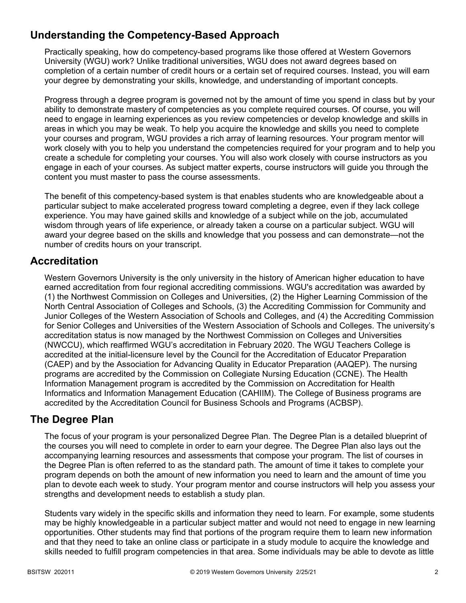# **Understanding the Competency-Based Approach**

Practically speaking, how do competency-based programs like those offered at Western Governors University (WGU) work? Unlike traditional universities, WGU does not award degrees based on completion of a certain number of credit hours or a certain set of required courses. Instead, you will earn your degree by demonstrating your skills, knowledge, and understanding of important concepts.

Progress through a degree program is governed not by the amount of time you spend in class but by your ability to demonstrate mastery of competencies as you complete required courses. Of course, you will need to engage in learning experiences as you review competencies or develop knowledge and skills in areas in which you may be weak. To help you acquire the knowledge and skills you need to complete your courses and program, WGU provides a rich array of learning resources. Your program mentor will work closely with you to help you understand the competencies required for your program and to help you create a schedule for completing your courses. You will also work closely with course instructors as you engage in each of your courses. As subject matter experts, course instructors will guide you through the content you must master to pass the course assessments.

The benefit of this competency-based system is that enables students who are knowledgeable about a particular subject to make accelerated progress toward completing a degree, even if they lack college experience. You may have gained skills and knowledge of a subject while on the job, accumulated wisdom through years of life experience, or already taken a course on a particular subject. WGU will award your degree based on the skills and knowledge that you possess and can demonstrate—not the number of credits hours on your transcript.

# **Accreditation**

Western Governors University is the only university in the history of American higher education to have earned accreditation from four regional accrediting commissions. WGU's accreditation was awarded by (1) the Northwest Commission on Colleges and Universities, (2) the Higher Learning Commission of the North Central Association of Colleges and Schools, (3) the Accrediting Commission for Community and Junior Colleges of the Western Association of Schools and Colleges, and (4) the Accrediting Commission for Senior Colleges and Universities of the Western Association of Schools and Colleges. The university's accreditation status is now managed by the Northwest Commission on Colleges and Universities (NWCCU), which reaffirmed WGU's accreditation in February 2020. The WGU Teachers College is accredited at the initial-licensure level by the Council for the Accreditation of Educator Preparation (CAEP) and by the Association for Advancing Quality in Educator Preparation (AAQEP). The nursing programs are accredited by the Commission on Collegiate Nursing Education (CCNE). The Health Information Management program is accredited by the Commission on Accreditation for Health Informatics and Information Management Education (CAHIIM). The College of Business programs are accredited by the Accreditation Council for Business Schools and Programs (ACBSP).

### **The Degree Plan**

The focus of your program is your personalized Degree Plan. The Degree Plan is a detailed blueprint of the courses you will need to complete in order to earn your degree. The Degree Plan also lays out the accompanying learning resources and assessments that compose your program. The list of courses in the Degree Plan is often referred to as the standard path. The amount of time it takes to complete your program depends on both the amount of new information you need to learn and the amount of time you plan to devote each week to study. Your program mentor and course instructors will help you assess your strengths and development needs to establish a study plan.

Students vary widely in the specific skills and information they need to learn. For example, some students may be highly knowledgeable in a particular subject matter and would not need to engage in new learning opportunities. Other students may find that portions of the program require them to learn new information and that they need to take an online class or participate in a study module to acquire the knowledge and skills needed to fulfill program competencies in that area. Some individuals may be able to devote as little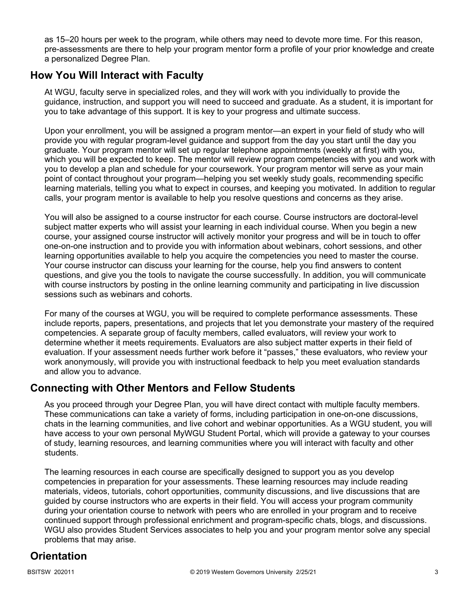as 15–20 hours per week to the program, while others may need to devote more time. For this reason, pre-assessments are there to help your program mentor form a profile of your prior knowledge and create a personalized Degree Plan.

# **How You Will Interact with Faculty**

At WGU, faculty serve in specialized roles, and they will work with you individually to provide the guidance, instruction, and support you will need to succeed and graduate. As a student, it is important for you to take advantage of this support. It is key to your progress and ultimate success.

Upon your enrollment, you will be assigned a program mentor—an expert in your field of study who will provide you with regular program-level guidance and support from the day you start until the day you graduate. Your program mentor will set up regular telephone appointments (weekly at first) with you, which you will be expected to keep. The mentor will review program competencies with you and work with you to develop a plan and schedule for your coursework. Your program mentor will serve as your main point of contact throughout your program—helping you set weekly study goals, recommending specific learning materials, telling you what to expect in courses, and keeping you motivated. In addition to regular calls, your program mentor is available to help you resolve questions and concerns as they arise.

You will also be assigned to a course instructor for each course. Course instructors are doctoral-level subject matter experts who will assist your learning in each individual course. When you begin a new course, your assigned course instructor will actively monitor your progress and will be in touch to offer one-on-one instruction and to provide you with information about webinars, cohort sessions, and other learning opportunities available to help you acquire the competencies you need to master the course. Your course instructor can discuss your learning for the course, help you find answers to content questions, and give you the tools to navigate the course successfully. In addition, you will communicate with course instructors by posting in the online learning community and participating in live discussion sessions such as webinars and cohorts.

For many of the courses at WGU, you will be required to complete performance assessments. These include reports, papers, presentations, and projects that let you demonstrate your mastery of the required competencies. A separate group of faculty members, called evaluators, will review your work to determine whether it meets requirements. Evaluators are also subject matter experts in their field of evaluation. If your assessment needs further work before it "passes," these evaluators, who review your work anonymously, will provide you with instructional feedback to help you meet evaluation standards and allow you to advance.

# **Connecting with Other Mentors and Fellow Students**

As you proceed through your Degree Plan, you will have direct contact with multiple faculty members. These communications can take a variety of forms, including participation in one-on-one discussions, chats in the learning communities, and live cohort and webinar opportunities. As a WGU student, you will have access to your own personal MyWGU Student Portal, which will provide a gateway to your courses of study, learning resources, and learning communities where you will interact with faculty and other students.

The learning resources in each course are specifically designed to support you as you develop competencies in preparation for your assessments. These learning resources may include reading materials, videos, tutorials, cohort opportunities, community discussions, and live discussions that are guided by course instructors who are experts in their field. You will access your program community during your orientation course to network with peers who are enrolled in your program and to receive continued support through professional enrichment and program-specific chats, blogs, and discussions. WGU also provides Student Services associates to help you and your program mentor solve any special problems that may arise.

# **Orientation**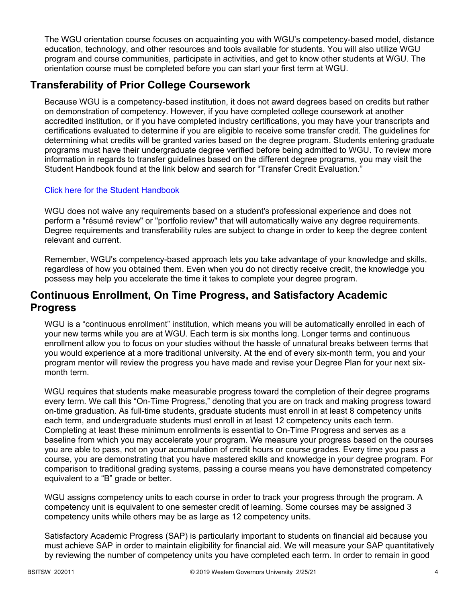The WGU orientation course focuses on acquainting you with WGU's competency-based model, distance education, technology, and other resources and tools available for students. You will also utilize WGU program and course communities, participate in activities, and get to know other students at WGU. The orientation course must be completed before you can start your first term at WGU.

# **Transferability of Prior College Coursework**

Because WGU is a competency-based institution, it does not award degrees based on credits but rather on demonstration of competency. However, if you have completed college coursework at another accredited institution, or if you have completed industry certifications, you may have your transcripts and certifications evaluated to determine if you are eligible to receive some transfer credit. The guidelines for determining what credits will be granted varies based on the degree program. Students entering graduate programs must have their undergraduate degree verified before being admitted to WGU. To review more information in regards to transfer guidelines based on the different degree programs, you may visit the Student Handbook found at the link below and search for "Transfer Credit Evaluation."

### [Click here for the Student Handbook](http://cm.wgu.edu/)

WGU does not waive any requirements based on a student's professional experience and does not perform a "résumé review" or "portfolio review" that will automatically waive any degree requirements. Degree requirements and transferability rules are subject to change in order to keep the degree content relevant and current.

Remember, WGU's competency-based approach lets you take advantage of your knowledge and skills, regardless of how you obtained them. Even when you do not directly receive credit, the knowledge you possess may help you accelerate the time it takes to complete your degree program.

# **Continuous Enrollment, On Time Progress, and Satisfactory Academic Progress**

WGU is a "continuous enrollment" institution, which means you will be automatically enrolled in each of your new terms while you are at WGU. Each term is six months long. Longer terms and continuous enrollment allow you to focus on your studies without the hassle of unnatural breaks between terms that you would experience at a more traditional university. At the end of every six-month term, you and your program mentor will review the progress you have made and revise your Degree Plan for your next sixmonth term.

WGU requires that students make measurable progress toward the completion of their degree programs every term. We call this "On-Time Progress," denoting that you are on track and making progress toward on-time graduation. As full-time students, graduate students must enroll in at least 8 competency units each term, and undergraduate students must enroll in at least 12 competency units each term. Completing at least these minimum enrollments is essential to On-Time Progress and serves as a baseline from which you may accelerate your program. We measure your progress based on the courses you are able to pass, not on your accumulation of credit hours or course grades. Every time you pass a course, you are demonstrating that you have mastered skills and knowledge in your degree program. For comparison to traditional grading systems, passing a course means you have demonstrated competency equivalent to a "B" grade or better.

WGU assigns competency units to each course in order to track your progress through the program. A competency unit is equivalent to one semester credit of learning. Some courses may be assigned 3 competency units while others may be as large as 12 competency units.

Satisfactory Academic Progress (SAP) is particularly important to students on financial aid because you must achieve SAP in order to maintain eligibility for financial aid. We will measure your SAP quantitatively by reviewing the number of competency units you have completed each term. In order to remain in good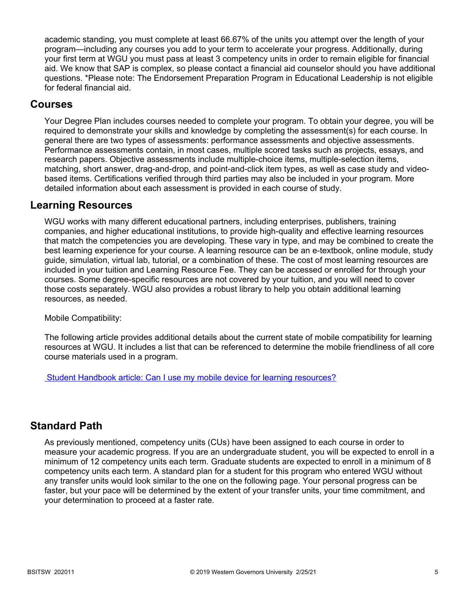academic standing, you must complete at least 66.67% of the units you attempt over the length of your program—including any courses you add to your term to accelerate your progress. Additionally, during your first term at WGU you must pass at least 3 competency units in order to remain eligible for financial aid. We know that SAP is complex, so please contact a financial aid counselor should you have additional questions. \*Please note: The Endorsement Preparation Program in Educational Leadership is not eligible for federal financial aid.

### **Courses**

Your Degree Plan includes courses needed to complete your program. To obtain your degree, you will be required to demonstrate your skills and knowledge by completing the assessment(s) for each course. In general there are two types of assessments: performance assessments and objective assessments. Performance assessments contain, in most cases, multiple scored tasks such as projects, essays, and research papers. Objective assessments include multiple-choice items, multiple-selection items, matching, short answer, drag-and-drop, and point-and-click item types, as well as case study and videobased items. Certifications verified through third parties may also be included in your program. More detailed information about each assessment is provided in each course of study.

### **Learning Resources**

WGU works with many different educational partners, including enterprises, publishers, training companies, and higher educational institutions, to provide high-quality and effective learning resources that match the competencies you are developing. These vary in type, and may be combined to create the best learning experience for your course. A learning resource can be an e-textbook, online module, study guide, simulation, virtual lab, tutorial, or a combination of these. The cost of most learning resources are included in your tuition and Learning Resource Fee. They can be accessed or enrolled for through your courses. Some degree-specific resources are not covered by your tuition, and you will need to cover those costs separately. WGU also provides a robust library to help you obtain additional learning resources, as needed.

Mobile Compatibility:

The following article provides additional details about the current state of mobile compatibility for learning resources at WGU. It includes a list that can be referenced to determine the mobile friendliness of all core course materials used in a program.

 [Student Handbook article: Can I use my mobile device for learning resources?](https://cm.wgu.edu/t5/Frequently-Asked-Questions/Can-I-use-my-mobile-device-for-learning-resources/ta-p/396)

### **Standard Path**

As previously mentioned, competency units (CUs) have been assigned to each course in order to measure your academic progress. If you are an undergraduate student, you will be expected to enroll in a minimum of 12 competency units each term. Graduate students are expected to enroll in a minimum of 8 competency units each term. A standard plan for a student for this program who entered WGU without any transfer units would look similar to the one on the following page. Your personal progress can be faster, but your pace will be determined by the extent of your transfer units, your time commitment, and your determination to proceed at a faster rate.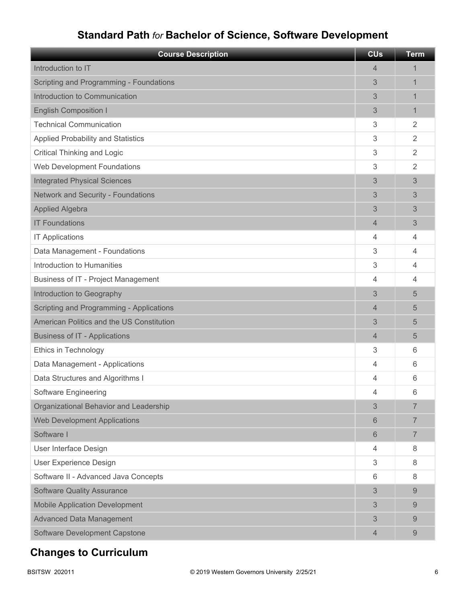# **Standard Path** *for* **Bachelor of Science, Software Development**

| <b>Course Description</b>                 | <b>CU<sub>s</sub></b> | <b>Term</b>    |
|-------------------------------------------|-----------------------|----------------|
| Introduction to IT                        | 4                     | 1              |
| Scripting and Programming - Foundations   | 3                     | 1              |
| Introduction to Communication             | 3                     | 1              |
| <b>English Composition I</b>              | 3                     | 1              |
| <b>Technical Communication</b>            | 3                     | $\overline{2}$ |
| <b>Applied Probability and Statistics</b> | 3                     | $\overline{2}$ |
| <b>Critical Thinking and Logic</b>        | 3                     | $\overline{2}$ |
| Web Development Foundations               | 3                     | $\overline{2}$ |
| <b>Integrated Physical Sciences</b>       | 3                     | 3              |
| <b>Network and Security - Foundations</b> | 3                     | 3              |
| <b>Applied Algebra</b>                    | 3                     | 3              |
| <b>IT Foundations</b>                     | 4                     | 3              |
| <b>IT Applications</b>                    | 4                     | 4              |
| Data Management - Foundations             | 3                     | 4              |
| Introduction to Humanities                | 3                     | 4              |
| Business of IT - Project Management       | 4                     | 4              |
| Introduction to Geography                 | 3                     | 5              |
| Scripting and Programming - Applications  | 4                     | 5              |
| American Politics and the US Constitution | 3                     | 5              |
| <b>Business of IT - Applications</b>      | 4                     | 5              |
| Ethics in Technology                      | 3                     | 6              |
| Data Management - Applications            | 4                     | 6              |
| Data Structures and Algorithms I          | 4                     | 6              |
| Software Engineering                      | 4                     | 6              |
| Organizational Behavior and Leadership    | 3                     | 7              |
| <b>Web Development Applications</b>       | 6                     | 7              |
| Software I                                | 6                     | $\overline{7}$ |
| User Interface Design                     | 4                     | 8              |
| User Experience Design                    | 3                     | 8              |
| Software II - Advanced Java Concepts      | 6                     | 8              |
| <b>Software Quality Assurance</b>         | 3                     | 9              |
| <b>Mobile Application Development</b>     | 3                     | 9              |
| <b>Advanced Data Management</b>           | 3                     | 9              |
| Software Development Capstone             | 4                     | 9              |

# **Changes to Curriculum**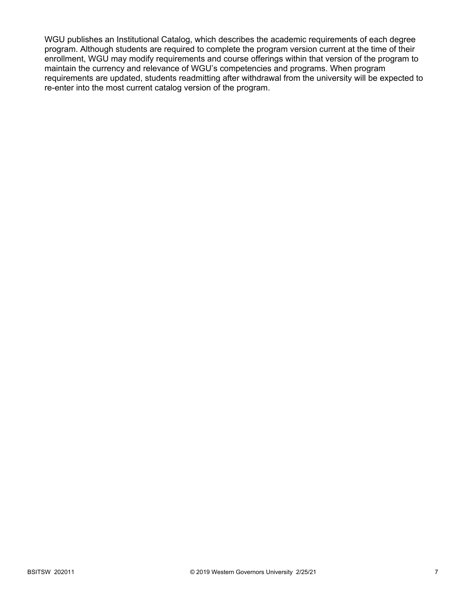WGU publishes an Institutional Catalog, which describes the academic requirements of each degree program. Although students are required to complete the program version current at the time of their enrollment, WGU may modify requirements and course offerings within that version of the program to maintain the currency and relevance of WGU's competencies and programs. When program requirements are updated, students readmitting after withdrawal from the university will be expected to re-enter into the most current catalog version of the program.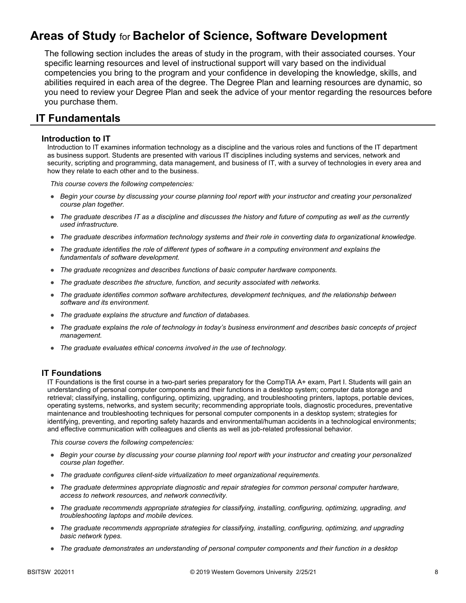# **Areas of Study** for **Bachelor of Science, Software Development**

The following section includes the areas of study in the program, with their associated courses. Your specific learning resources and level of instructional support will vary based on the individual competencies you bring to the program and your confidence in developing the knowledge, skills, and abilities required in each area of the degree. The Degree Plan and learning resources are dynamic, so you need to review your Degree Plan and seek the advice of your mentor regarding the resources before you purchase them.

### **IT Fundamentals**

### **Introduction to IT**

Introduction to IT examines information technology as a discipline and the various roles and functions of the IT department as business support. Students are presented with various IT disciplines including systems and services, network and security, scripting and programming, data management, and business of IT, with a survey of technologies in every area and how they relate to each other and to the business.

*This course covers the following competencies:*

- *Begin your course by discussing your course planning tool report with your instructor and creating your personalized course plan together.*
- *The graduate describes IT as a discipline and discusses the history and future of computing as well as the currently used infrastructure.*
- *The graduate describes information technology systems and their role in converting data to organizational knowledge.*
- *The graduate identifies the role of different types of software in a computing environment and explains the fundamentals of software development.*
- *The graduate recognizes and describes functions of basic computer hardware components.*
- *The graduate describes the structure, function, and security associated with networks.*
- *The graduate identifies common software architectures, development techniques, and the relationship between software and its environment.*
- *The graduate explains the structure and function of databases.*
- *The graduate explains the role of technology in today's business environment and describes basic concepts of project management.*
- *The graduate evaluates ethical concerns involved in the use of technology.*

### **IT Foundations**

IT Foundations is the first course in a two-part series preparatory for the CompTIA A+ exam, Part I. Students will gain an understanding of personal computer components and their functions in a desktop system; computer data storage and retrieval; classifying, installing, configuring, optimizing, upgrading, and troubleshooting printers, laptops, portable devices, operating systems, networks, and system security; recommending appropriate tools, diagnostic procedures, preventative maintenance and troubleshooting techniques for personal computer components in a desktop system; strategies for identifying, preventing, and reporting safety hazards and environmental/human accidents in a technological environments; and effective communication with colleagues and clients as well as job-related professional behavior.

- *Begin your course by discussing your course planning tool report with your instructor and creating your personalized course plan together.*
- *The graduate configures client-side virtualization to meet organizational requirements.*
- *The graduate determines appropriate diagnostic and repair strategies for common personal computer hardware, access to network resources, and network connectivity.*
- *The graduate recommends appropriate strategies for classifying, installing, configuring, optimizing, upgrading, and troubleshooting laptops and mobile devices.*
- *The graduate recommends appropriate strategies for classifying, installing, configuring, optimizing, and upgrading basic network types.*
- *The graduate demonstrates an understanding of personal computer components and their function in a desktop*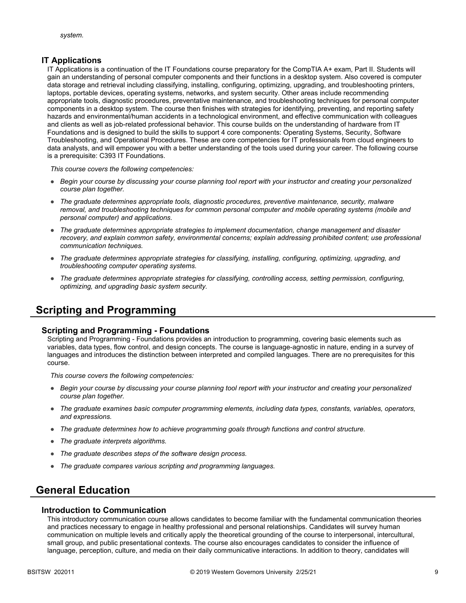### **IT Applications**

IT Applications is a continuation of the IT Foundations course preparatory for the CompTIA A+ exam, Part II. Students will gain an understanding of personal computer components and their functions in a desktop system. Also covered is computer data storage and retrieval including classifying, installing, configuring, optimizing, upgrading, and troubleshooting printers, laptops, portable devices, operating systems, networks, and system security. Other areas include recommending appropriate tools, diagnostic procedures, preventative maintenance, and troubleshooting techniques for personal computer components in a desktop system. The course then finishes with strategies for identifying, preventing, and reporting safety hazards and environmental/human accidents in a technological environment, and effective communication with colleagues and clients as well as job-related professional behavior. This course builds on the understanding of hardware from IT Foundations and is designed to build the skills to support 4 core components: Operating Systems, Security, Software Troubleshooting, and Operational Procedures. These are core competencies for IT professionals from cloud engineers to data analysts, and will empower you with a better understanding of the tools used during your career. The following course is a prerequisite: C393 IT Foundations.

*This course covers the following competencies:*

- *Begin your course by discussing your course planning tool report with your instructor and creating your personalized course plan together.*
- *The graduate determines appropriate tools, diagnostic procedures, preventive maintenance, security, malware removal, and troubleshooting techniques for common personal computer and mobile operating systems (mobile and personal computer) and applications.*
- *The graduate determines appropriate strategies to implement documentation, change management and disaster*  recovery, and explain common safety, environmental concerns; explain addressing prohibited content; use professional *communication techniques.*
- *The graduate determines appropriate strategies for classifying, installing, configuring, optimizing, upgrading, and troubleshooting computer operating systems.*
- *The graduate determines appropriate strategies for classifying, controlling access, setting permission, configuring, optimizing, and upgrading basic system security.*

# **Scripting and Programming**

### **Scripting and Programming - Foundations**

Scripting and Programming - Foundations provides an introduction to programming, covering basic elements such as variables, data types, flow control, and design concepts. The course is language-agnostic in nature, ending in a survey of languages and introduces the distinction between interpreted and compiled languages. There are no prerequisites for this course.

*This course covers the following competencies:*

- *Begin your course by discussing your course planning tool report with your instructor and creating your personalized course plan together.*
- *The graduate examines basic computer programming elements, including data types, constants, variables, operators, and expressions.*
- *The graduate determines how to achieve programming goals through functions and control structure.*
- *The graduate interprets algorithms.*
- *The graduate describes steps of the software design process.*
- *The graduate compares various scripting and programming languages.*

# **General Education**

### **Introduction to Communication**

This introductory communication course allows candidates to become familiar with the fundamental communication theories and practices necessary to engage in healthy professional and personal relationships. Candidates will survey human communication on multiple levels and critically apply the theoretical grounding of the course to interpersonal, intercultural, small group, and public presentational contexts. The course also encourages candidates to consider the influence of language, perception, culture, and media on their daily communicative interactions. In addition to theory, candidates will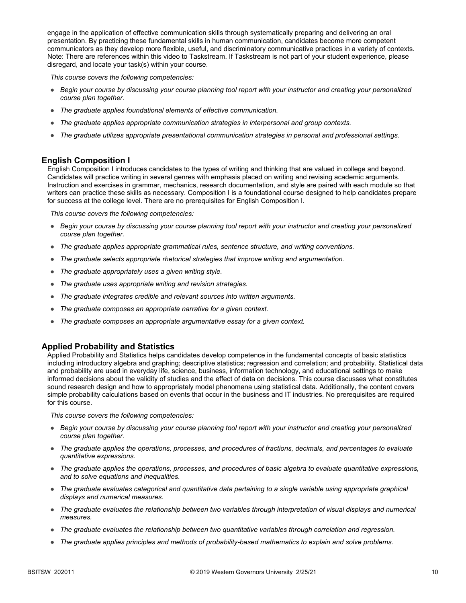engage in the application of effective communication skills through systematically preparing and delivering an oral presentation. By practicing these fundamental skills in human communication, candidates become more competent communicators as they develop more flexible, useful, and discriminatory communicative practices in a variety of contexts. Note: There are references within this video to Taskstream. If Taskstream is not part of your student experience, please disregard, and locate your task(s) within your course.

*This course covers the following competencies:*

- *Begin your course by discussing your course planning tool report with your instructor and creating your personalized course plan together.*
- *The graduate applies foundational elements of effective communication.*
- *The graduate applies appropriate communication strategies in interpersonal and group contexts.*
- *The graduate utilizes appropriate presentational communication strategies in personal and professional settings.*

### **English Composition I**

English Composition I introduces candidates to the types of writing and thinking that are valued in college and beyond. Candidates will practice writing in several genres with emphasis placed on writing and revising academic arguments. Instruction and exercises in grammar, mechanics, research documentation, and style are paired with each module so that writers can practice these skills as necessary. Composition I is a foundational course designed to help candidates prepare for success at the college level. There are no prerequisites for English Composition I.

*This course covers the following competencies:*

- *Begin your course by discussing your course planning tool report with your instructor and creating your personalized course plan together.*
- *The graduate applies appropriate grammatical rules, sentence structure, and writing conventions.*
- *The graduate selects appropriate rhetorical strategies that improve writing and argumentation.*
- *The graduate appropriately uses a given writing style.*
- *The graduate uses appropriate writing and revision strategies.*
- *The graduate integrates credible and relevant sources into written arguments.*
- *The graduate composes an appropriate narrative for a given context.*
- *The graduate composes an appropriate argumentative essay for a given context.*

### **Applied Probability and Statistics**

Applied Probability and Statistics helps candidates develop competence in the fundamental concepts of basic statistics including introductory algebra and graphing; descriptive statistics; regression and correlation; and probability. Statistical data and probability are used in everyday life, science, business, information technology, and educational settings to make informed decisions about the validity of studies and the effect of data on decisions. This course discusses what constitutes sound research design and how to appropriately model phenomena using statistical data. Additionally, the content covers simple probability calculations based on events that occur in the business and IT industries. No prerequisites are required for this course.

- *Begin your course by discussing your course planning tool report with your instructor and creating your personalized course plan together.*
- *The graduate applies the operations, processes, and procedures of fractions, decimals, and percentages to evaluate quantitative expressions.*
- *The graduate applies the operations, processes, and procedures of basic algebra to evaluate quantitative expressions, and to solve equations and inequalities.*
- *The graduate evaluates categorical and quantitative data pertaining to a single variable using appropriate graphical displays and numerical measures.*
- *The graduate evaluates the relationship between two variables through interpretation of visual displays and numerical measures.*
- *The graduate evaluates the relationship between two quantitative variables through correlation and regression.*
- *The graduate applies principles and methods of probability-based mathematics to explain and solve problems.*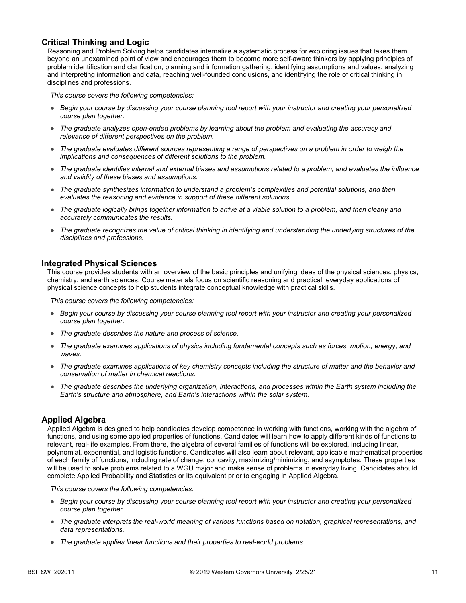### **Critical Thinking and Logic**

Reasoning and Problem Solving helps candidates internalize a systematic process for exploring issues that takes them beyond an unexamined point of view and encourages them to become more self-aware thinkers by applying principles of problem identification and clarification, planning and information gathering, identifying assumptions and values, analyzing and interpreting information and data, reaching well-founded conclusions, and identifying the role of critical thinking in disciplines and professions.

*This course covers the following competencies:*

- *Begin your course by discussing your course planning tool report with your instructor and creating your personalized course plan together.*
- *The graduate analyzes open-ended problems by learning about the problem and evaluating the accuracy and relevance of different perspectives on the problem.*
- *The graduate evaluates different sources representing a range of perspectives on a problem in order to weigh the implications and consequences of different solutions to the problem.*
- *The graduate identifies internal and external biases and assumptions related to a problem, and evaluates the influence and validity of these biases and assumptions.*
- *The graduate synthesizes information to understand a problem's complexities and potential solutions, and then evaluates the reasoning and evidence in support of these different solutions.*
- *The graduate logically brings together information to arrive at a viable solution to a problem, and then clearly and accurately communicates the results.*
- *The graduate recognizes the value of critical thinking in identifying and understanding the underlying structures of the disciplines and professions.*

#### **Integrated Physical Sciences**

This course provides students with an overview of the basic principles and unifying ideas of the physical sciences: physics, chemistry, and earth sciences. Course materials focus on scientific reasoning and practical, everyday applications of physical science concepts to help students integrate conceptual knowledge with practical skills.

*This course covers the following competencies:*

- *Begin your course by discussing your course planning tool report with your instructor and creating your personalized course plan together.*
- *The graduate describes the nature and process of science.*
- *The graduate examines applications of physics including fundamental concepts such as forces, motion, energy, and waves.*
- *The graduate examines applications of key chemistry concepts including the structure of matter and the behavior and conservation of matter in chemical reactions.*
- *The graduate describes the underlying organization, interactions, and processes within the Earth system including the Earth's structure and atmosphere, and Earth's interactions within the solar system.*

### **Applied Algebra**

Applied Algebra is designed to help candidates develop competence in working with functions, working with the algebra of functions, and using some applied properties of functions. Candidates will learn how to apply different kinds of functions to relevant, real-life examples. From there, the algebra of several families of functions will be explored, including linear, polynomial, exponential, and logistic functions. Candidates will also learn about relevant, applicable mathematical properties of each family of functions, including rate of change, concavity, maximizing/minimizing, and asymptotes. These properties will be used to solve problems related to a WGU major and make sense of problems in everyday living. Candidates should complete Applied Probability and Statistics or its equivalent prior to engaging in Applied Algebra.

- *Begin your course by discussing your course planning tool report with your instructor and creating your personalized course plan together.*
- *The graduate interprets the real-world meaning of various functions based on notation, graphical representations, and data representations.*
- *The graduate applies linear functions and their properties to real-world problems.*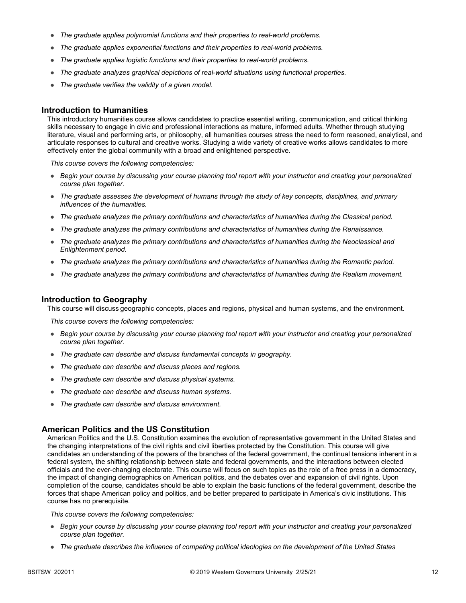- *The graduate applies polynomial functions and their properties to real-world problems.*
- *The graduate applies exponential functions and their properties to real-world problems.*
- *The graduate applies logistic functions and their properties to real-world problems.*
- *The graduate analyzes graphical depictions of real-world situations using functional properties.*
- *The graduate verifies the validity of a given model.*

#### **Introduction to Humanities**

This introductory humanities course allows candidates to practice essential writing, communication, and critical thinking skills necessary to engage in civic and professional interactions as mature, informed adults. Whether through studying literature, visual and performing arts, or philosophy, all humanities courses stress the need to form reasoned, analytical, and articulate responses to cultural and creative works. Studying a wide variety of creative works allows candidates to more effectively enter the global community with a broad and enlightened perspective.

*This course covers the following competencies:*

- *Begin your course by discussing your course planning tool report with your instructor and creating your personalized course plan together.*
- *The graduate assesses the development of humans through the study of key concepts, disciplines, and primary influences of the humanities.*
- *The graduate analyzes the primary contributions and characteristics of humanities during the Classical period.*
- *The graduate analyzes the primary contributions and characteristics of humanities during the Renaissance.*
- *The graduate analyzes the primary contributions and characteristics of humanities during the Neoclassical and Enlightenment period.*
- *The graduate analyzes the primary contributions and characteristics of humanities during the Romantic period.*
- *The graduate analyzes the primary contributions and characteristics of humanities during the Realism movement.*

#### **Introduction to Geography**

This course will discuss geographic concepts, places and regions, physical and human systems, and the environment.

*This course covers the following competencies:*

- *Begin your course by discussing your course planning tool report with your instructor and creating your personalized course plan together.*
- *The graduate can describe and discuss fundamental concepts in geography.*
- *The graduate can describe and discuss places and regions.*
- *The graduate can describe and discuss physical systems.*
- *The graduate can describe and discuss human systems.*
- *The graduate can describe and discuss environment.*

#### **American Politics and the US Constitution**

American Politics and the U.S. Constitution examines the evolution of representative government in the United States and the changing interpretations of the civil rights and civil liberties protected by the Constitution. This course will give candidates an understanding of the powers of the branches of the federal government, the continual tensions inherent in a federal system, the shifting relationship between state and federal governments, and the interactions between elected officials and the ever-changing electorate. This course will focus on such topics as the role of a free press in a democracy, the impact of changing demographics on American politics, and the debates over and expansion of civil rights. Upon completion of the course, candidates should be able to explain the basic functions of the federal government, describe the forces that shape American policy and politics, and be better prepared to participate in America's civic institutions. This course has no prerequisite.

- *Begin your course by discussing your course planning tool report with your instructor and creating your personalized course plan together.*
- *The graduate describes the influence of competing political ideologies on the development of the United States*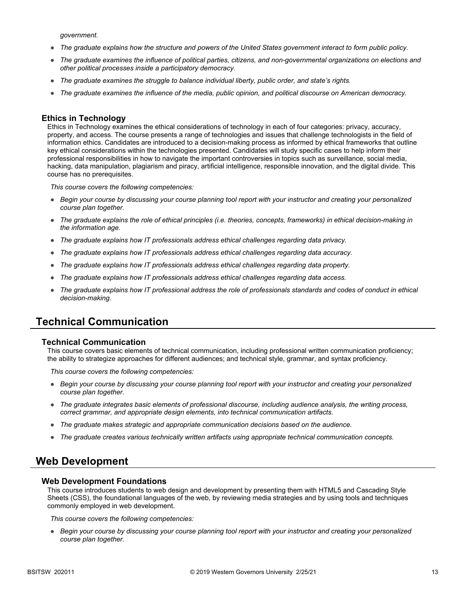*government.*

- *The graduate explains how the structure and powers of the United States government interact to form public policy.*
- *The graduate examines the influence of political parties, citizens, and non-governmental organizations on elections and other political processes inside a participatory democracy.*
- *The graduate examines the struggle to balance individual liberty, public order, and state's rights.*
- *The graduate examines the influence of the media, public opinion, and political discourse on American democracy.*

### **Ethics in Technology**

Ethics in Technology examines the ethical considerations of technology in each of four categories: privacy, accuracy, property, and access. The course presents a range of technologies and issues that challenge technologists in the field of information ethics. Candidates are introduced to a decision-making process as informed by ethical frameworks that outline key ethical considerations within the technologies presented. Candidates will study specific cases to help inform their professional responsibilities in how to navigate the important controversies in topics such as surveillance, social media, hacking, data manipulation, plagiarism and piracy, artificial intelligence, responsible innovation, and the digital divide. This course has no prerequisites.

*This course covers the following competencies:*

- *Begin your course by discussing your course planning tool report with your instructor and creating your personalized course plan together.*
- *The graduate explains the role of ethical principles (i.e. theories, concepts, frameworks) in ethical decision-making in the information age.*
- *The graduate explains how IT professionals address ethical challenges regarding data privacy.*
- *The graduate explains how IT professionals address ethical challenges regarding data accuracy.*
- *The graduate explains how IT professionals address ethical challenges regarding data property.*
- *The graduate explains how IT professionals address ethical challenges regarding data access.*
- *The graduate explains how IT professional address the role of professionals standards and codes of conduct in ethical decision-making.*

### **Technical Communication**

#### **Technical Communication**

This course covers basic elements of technical communication, including professional written communication proficiency; the ability to strategize approaches for different audiences; and technical style, grammar, and syntax proficiency.

*This course covers the following competencies:*

- *Begin your course by discussing your course planning tool report with your instructor and creating your personalized course plan together.*
- *The graduate integrates basic elements of professional discourse, including audience analysis, the writing process, correct grammar, and appropriate design elements, into technical communication artifacts.*
- *The graduate makes strategic and appropriate communication decisions based on the audience.*
- *The graduate creates various technically written artifacts using appropriate technical communication concepts.*

### **Web Development**

#### **Web Development Foundations**

This course introduces students to web design and development by presenting them with HTML5 and Cascading Style Sheets (CSS), the foundational languages of the web, by reviewing media strategies and by using tools and techniques commonly employed in web development.

*This course covers the following competencies:*

● *Begin your course by discussing your course planning tool report with your instructor and creating your personalized course plan together.*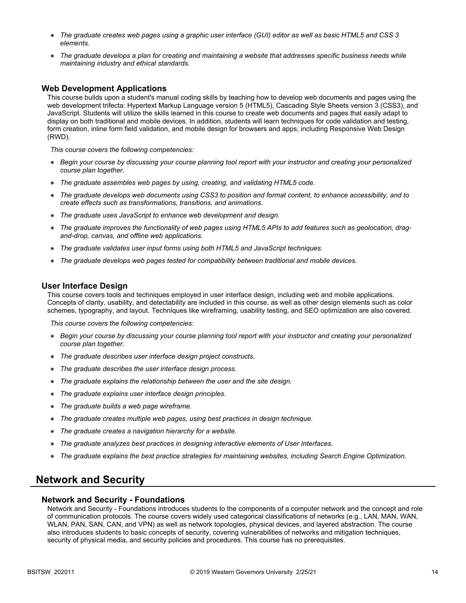- *The graduate creates web pages using a graphic user interface (GUI) editor as well as basic HTML5 and CSS 3 elements.*
- *The graduate develops a plan for creating and maintaining a website that addresses specific business needs while maintaining industry and ethical standards.*

### **Web Development Applications**

This course builds upon a student's manual coding skills by teaching how to develop web documents and pages using the web development trifecta: Hypertext Markup Language version 5 (HTML5), Cascading Style Sheets version 3 (CSS3), and JavaScript. Students will utilize the skills learned in this course to create web documents and pages that easily adapt to display on both traditional and mobile devices. In addition, students will learn techniques for code validation and testing, form creation, inline form field validation, and mobile design for browsers and apps, including Responsive Web Design (RWD).

*This course covers the following competencies:*

- *Begin your course by discussing your course planning tool report with your instructor and creating your personalized course plan together.*
- *The graduate assembles web pages by using, creating, and validating HTML5 code.*
- *The graduate develops web documents using CSS3 to position and format content, to enhance accessibility, and to create effects such as transformations, transitions, and animations.*
- *The graduate uses JavaScript to enhance web development and design.*
- *The graduate improves the functionality of web pages using HTML5 APIs to add features such as geolocation, dragand-drop, canvas, and offline web applications.*
- *The graduate validates user input forms using both HTML5 and JavaScript techniques.*
- *The graduate develops web pages tested for compatibility between traditional and mobile devices.*

#### **User Interface Design**

This course covers tools and techniques employed in user interface design, including web and mobile applications. Concepts of clarity, usability, and detectability are included in this course, as well as other design elements such as color schemes, typography, and layout. Techniques like wireframing, usability testing, and SEO optimization are also covered.

*This course covers the following competencies:*

- *Begin your course by discussing your course planning tool report with your instructor and creating your personalized course plan together.*
- *The graduate describes user interface design project constructs.*
- *The graduate describes the user interface design process.*
- *The graduate explains the relationship between the user and the site design.*
- *The graduate explains user interface design principles.*
- *The graduate builds a web page wireframe.*
- *The graduate creates multiple web pages, using best practices in design technique.*
- *The graduate creates a navigation hierarchy for a website.*
- *The graduate analyzes best practices in designing interactive elements of User Interfaces.*
- *The graduate explains the best practice strategies for maintaining websites, including Search Engine Optimization.*

### **Network and Security**

#### **Network and Security - Foundations**

Network and Security - Foundations introduces students to the components of a computer network and the concept and role of communication protocols. The course covers widely used categorical classifications of networks (e.g., LAN, MAN, WAN, WLAN, PAN, SAN, CAN, and VPN) as well as network topologies, physical devices, and layered abstraction. The course also introduces students to basic concepts of security, covering vulnerabilities of networks and mitigation techniques, security of physical media, and security policies and procedures. This course has no prerequisites.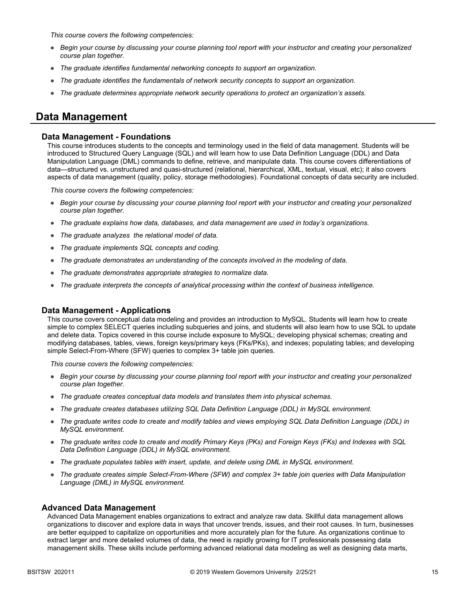*This course covers the following competencies:*

- *Begin your course by discussing your course planning tool report with your instructor and creating your personalized course plan together.*
- *The graduate identifies fundamental networking concepts to support an organization.*
- *The graduate identifies the fundamentals of network security concepts to support an organization.*
- *The graduate determines appropriate network security operations to protect an organization's assets.*

### **Data Management**

#### **Data Management - Foundations**

This course introduces students to the concepts and terminology used in the field of data management. Students will be introduced to Structured Query Language (SQL) and will learn how to use Data Definition Language (DDL) and Data Manipulation Language (DML) commands to define, retrieve, and manipulate data. This course covers differentiations of data—structured vs. unstructured and quasi-structured (relational, hierarchical, XML, textual, visual, etc); it also covers aspects of data management (quality, policy, storage methodologies). Foundational concepts of data security are included.

*This course covers the following competencies:*

- *Begin your course by discussing your course planning tool report with your instructor and creating your personalized course plan together.*
- *The graduate explains how data, databases, and data management are used in today's organizations.*
- *The graduate analyzes the relational model of data.*
- *The graduate implements SQL concepts and coding.*
- *The graduate demonstrates an understanding of the concepts involved in the modeling of data.*
- *The graduate demonstrates appropriate strategies to normalize data.*
- *The graduate interprets the concepts of analytical processing within the context of business intelligence.*

### **Data Management - Applications**

This course covers conceptual data modeling and provides an introduction to MySQL. Students will learn how to create simple to complex SELECT queries including subqueries and joins, and students will also learn how to use SQL to update and delete data. Topics covered in this course include exposure to MySQL; developing physical schemas; creating and modifying databases, tables, views, foreign keys/primary keys (FKs/PKs), and indexes; populating tables; and developing simple Select-From-Where (SFW) queries to complex 3+ table join queries.

*This course covers the following competencies:*

- *Begin your course by discussing your course planning tool report with your instructor and creating your personalized course plan together.*
- *The graduate creates conceptual data models and translates them into physical schemas.*
- *The graduate creates databases utilizing SQL Data Definition Language (DDL) in MySQL environment.*
- *The graduate writes code to create and modify tables and views employing SQL Data Definition Language (DDL) in MySQL environment.*
- *The graduate writes code to create and modify Primary Keys (PKs) and Foreign Keys (FKs) and Indexes with SQL Data Definition Language (DDL) in MySQL environment.*
- The graduate populates tables with insert, update, and delete using DML in MySQL environment.
- *The graduate creates simple Select-From-Where (SFW) and complex 3+ table join queries with Data Manipulation Language (DML) in MySQL environment.*

#### **Advanced Data Management**

Advanced Data Management enables organizations to extract and analyze raw data. Skillful data management allows organizations to discover and explore data in ways that uncover trends, issues, and their root causes. In turn, businesses are better equipped to capitalize on opportunities and more accurately plan for the future. As organizations continue to extract larger and more detailed volumes of data, the need is rapidly growing for IT professionals possessing data management skills. These skills include performing advanced relational data modeling as well as designing data marts,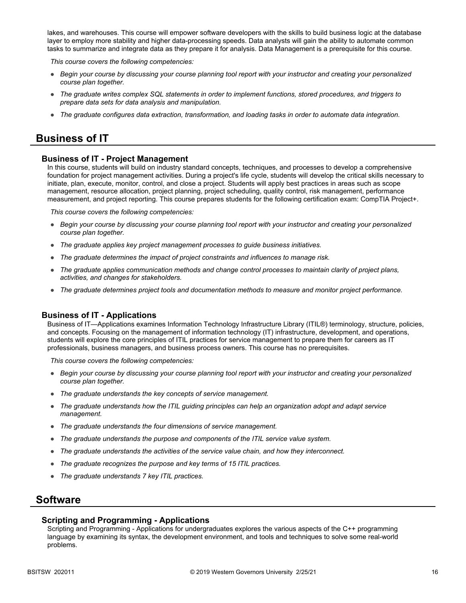lakes, and warehouses. This course will empower software developers with the skills to build business logic at the database layer to employ more stability and higher data-processing speeds. Data analysts will gain the ability to automate common tasks to summarize and integrate data as they prepare it for analysis. Data Management is a prerequisite for this course.

*This course covers the following competencies:*

- *Begin your course by discussing your course planning tool report with your instructor and creating your personalized course plan together.*
- *The graduate writes complex SQL statements in order to implement functions, stored procedures, and triggers to prepare data sets for data analysis and manipulation.*
- *The graduate configures data extraction, transformation, and loading tasks in order to automate data integration.*

### **Business of IT**

### **Business of IT - Project Management**

In this course, students will build on industry standard concepts, techniques, and processes to develop a comprehensive foundation for project management activities. During a project's life cycle, students will develop the critical skills necessary to initiate, plan, execute, monitor, control, and close a project. Students will apply best practices in areas such as scope management, resource allocation, project planning, project scheduling, quality control, risk management, performance measurement, and project reporting. This course prepares students for the following certification exam: CompTIA Project+.

*This course covers the following competencies:*

- *Begin your course by discussing your course planning tool report with your instructor and creating your personalized course plan together.*
- *The graduate applies key project management processes to guide business initiatives.*
- *The graduate determines the impact of project constraints and influences to manage risk.*
- *The graduate applies communication methods and change control processes to maintain clarity of project plans, activities, and changes for stakeholders.*
- *The graduate determines project tools and documentation methods to measure and monitor project performance.*

#### **Business of IT - Applications**

Business of IT—Applications examines Information Technology Infrastructure Library (ITIL®) terminology, structure, policies, and concepts. Focusing on the management of information technology (IT) infrastructure, development, and operations, students will explore the core principles of ITIL practices for service management to prepare them for careers as IT professionals, business managers, and business process owners. This course has no prerequisites.

*This course covers the following competencies:*

- *Begin your course by discussing your course planning tool report with your instructor and creating your personalized course plan together.*
- *The graduate understands the key concepts of service management.*
- *The graduate understands how the ITIL guiding principles can help an organization adopt and adapt service management.*
- *The graduate understands the four dimensions of service management.*
- *The graduate understands the purpose and components of the ITIL service value system.*
- *The graduate understands the activities of the service value chain, and how they interconnect.*
- *The graduate recognizes the purpose and key terms of 15 ITIL practices.*
- *The graduate understands 7 key ITIL practices.*

### **Software**

#### **Scripting and Programming - Applications**

Scripting and Programming - Applications for undergraduates explores the various aspects of the C++ programming language by examining its syntax, the development environment, and tools and techniques to solve some real-world problems.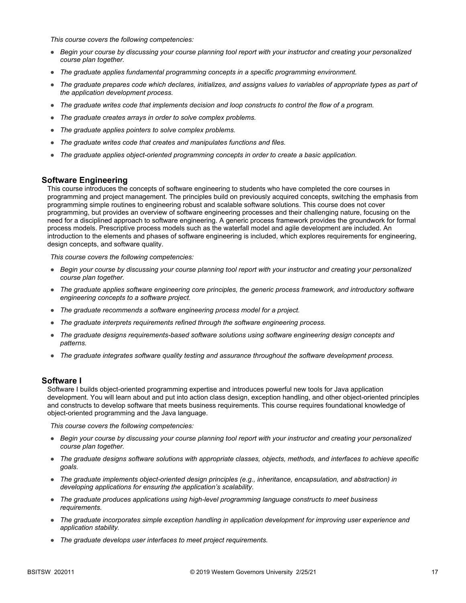*This course covers the following competencies:*

- *Begin your course by discussing your course planning tool report with your instructor and creating your personalized course plan together.*
- *The graduate applies fundamental programming concepts in a specific programming environment.*
- *The graduate prepares code which declares, initializes, and assigns values to variables of appropriate types as part of the application development process.*
- *The graduate writes code that implements decision and loop constructs to control the flow of a program.*
- *The graduate creates arrays in order to solve complex problems.*
- *The graduate applies pointers to solve complex problems.*
- *The graduate writes code that creates and manipulates functions and files.*
- *The graduate applies object-oriented programming concepts in order to create a basic application.*

### **Software Engineering**

This course introduces the concepts of software engineering to students who have completed the core courses in programming and project management. The principles build on previously acquired concepts, switching the emphasis from programming simple routines to engineering robust and scalable software solutions. This course does not cover programming, but provides an overview of software engineering processes and their challenging nature, focusing on the need for a disciplined approach to software engineering. A generic process framework provides the groundwork for formal process models. Prescriptive process models such as the waterfall model and agile development are included. An introduction to the elements and phases of software engineering is included, which explores requirements for engineering, design concepts, and software quality.

*This course covers the following competencies:*

- *Begin your course by discussing your course planning tool report with your instructor and creating your personalized course plan together.*
- *The graduate applies software engineering core principles, the generic process framework, and introductory software engineering concepts to a software project.*
- *The graduate recommends a software engineering process model for a project.*
- *The graduate interprets requirements refined through the software engineering process.*
- *The graduate designs requirements-based software solutions using software engineering design concepts and patterns.*
- *The graduate integrates software quality testing and assurance throughout the software development process.*

### **Software I**

Software I builds object-oriented programming expertise and introduces powerful new tools for Java application development. You will learn about and put into action class design, exception handling, and other object-oriented principles and constructs to develop software that meets business requirements. This course requires foundational knowledge of object-oriented programming and the Java language.

- *Begin your course by discussing your course planning tool report with your instructor and creating your personalized course plan together.*
- *The graduate designs software solutions with appropriate classes, objects, methods, and interfaces to achieve specific goals.*
- *The graduate implements object-oriented design principles (e.g., inheritance, encapsulation, and abstraction) in developing applications for ensuring the application's scalability.*
- *The graduate produces applications using high-level programming language constructs to meet business requirements.*
- *The graduate incorporates simple exception handling in application development for improving user experience and application stability.*
- *The graduate develops user interfaces to meet project requirements.*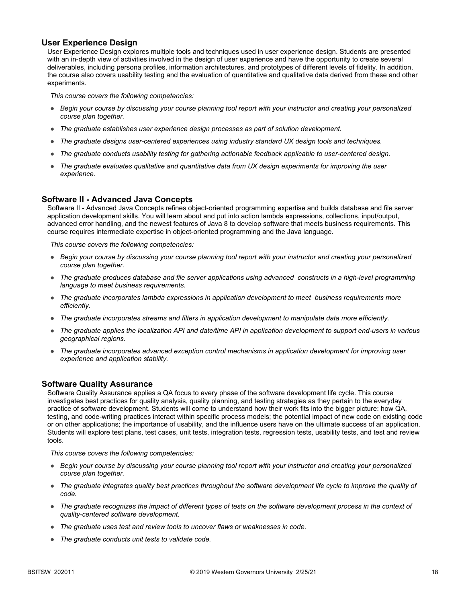### **User Experience Design**

User Experience Design explores multiple tools and techniques used in user experience design. Students are presented with an in-depth view of activities involved in the design of user experience and have the opportunity to create several deliverables, including persona profiles, information architectures, and prototypes of different levels of fidelity. In addition, the course also covers usability testing and the evaluation of quantitative and qualitative data derived from these and other experiments.

*This course covers the following competencies:*

- *Begin your course by discussing your course planning tool report with your instructor and creating your personalized course plan together.*
- *The graduate establishes user experience design processes as part of solution development.*
- *The graduate designs user-centered experiences using industry standard UX design tools and techniques.*
- *The graduate conducts usability testing for gathering actionable feedback applicable to user-centered design.*
- *The graduate evaluates qualitative and quantitative data from UX design experiments for improving the user experience.*

#### **Software II - Advanced Java Concepts**

Software II - Advanced Java Concepts refines object-oriented programming expertise and builds database and file server application development skills. You will learn about and put into action lambda expressions, collections, input/output, advanced error handling, and the newest features of Java 8 to develop software that meets business requirements. This course requires intermediate expertise in object-oriented programming and the Java language.

*This course covers the following competencies:*

- *Begin your course by discussing your course planning tool report with your instructor and creating your personalized course plan together.*
- *The graduate produces database and file server applications using advanced constructs in a high-level programming language to meet business requirements.*
- *The graduate incorporates lambda expressions in application development to meet business requirements more efficiently.*
- *The graduate incorporates streams and filters in application development to manipulate data more efficiently.*
- *The graduate applies the localization API and date/time API in application development to support end-users in various geographical regions.*
- *The graduate incorporates advanced exception control mechanisms in application development for improving user experience and application stability.*

### **Software Quality Assurance**

Software Quality Assurance applies a QA focus to every phase of the software development life cycle. This course investigates best practices for quality analysis, quality planning, and testing strategies as they pertain to the everyday practice of software development. Students will come to understand how their work fits into the bigger picture: how QA, testing, and code-writing practices interact within specific process models; the potential impact of new code on existing code or on other applications; the importance of usability, and the influence users have on the ultimate success of an application. Students will explore test plans, test cases, unit tests, integration tests, regression tests, usability tests, and test and review tools.

- *Begin your course by discussing your course planning tool report with your instructor and creating your personalized course plan together.*
- *The graduate integrates quality best practices throughout the software development life cycle to improve the quality of code.*
- *The graduate recognizes the impact of different types of tests on the software development process in the context of quality-centered software development.*
- *The graduate uses test and review tools to uncover flaws or weaknesses in code.*
- *The graduate conducts unit tests to validate code.*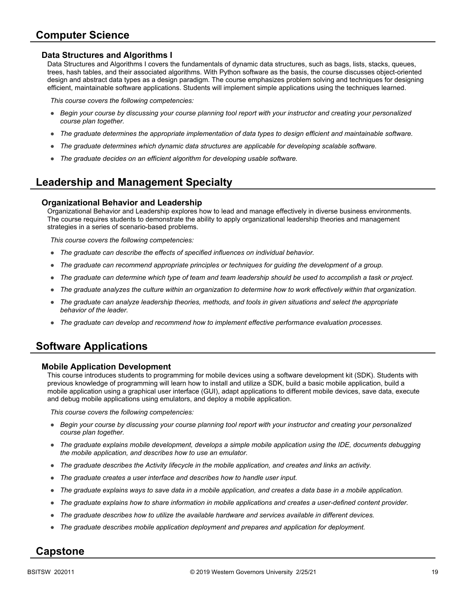# **Computer Science**

### **Data Structures and Algorithms I**

Data Structures and Algorithms I covers the fundamentals of dynamic data structures, such as bags, lists, stacks, queues, trees, hash tables, and their associated algorithms. With Python software as the basis, the course discusses object-oriented design and abstract data types as a design paradigm. The course emphasizes problem solving and techniques for designing efficient, maintainable software applications. Students will implement simple applications using the techniques learned.

*This course covers the following competencies:*

- *Begin your course by discussing your course planning tool report with your instructor and creating your personalized course plan together.*
- *The graduate determines the appropriate implementation of data types to design efficient and maintainable software.*
- *The graduate determines which dynamic data structures are applicable for developing scalable software.*
- *The graduate decides on an efficient algorithm for developing usable software.*

# **Leadership and Management Specialty**

### **Organizational Behavior and Leadership**

Organizational Behavior and Leadership explores how to lead and manage effectively in diverse business environments. The course requires students to demonstrate the ability to apply organizational leadership theories and management strategies in a series of scenario-based problems.

*This course covers the following competencies:*

- *The graduate can describe the effects of specified influences on individual behavior.*
- *The graduate can recommend appropriate principles or techniques for guiding the development of a group.*
- *The graduate can determine which type of team and team leadership should be used to accomplish a task or project.*
- *The graduate analyzes the culture within an organization to determine how to work effectively within that organization.*
- *The graduate can analyze leadership theories, methods, and tools in given situations and select the appropriate behavior of the leader.*
- *The graduate can develop and recommend how to implement effective performance evaluation processes.*

# **Software Applications**

### **Mobile Application Development**

This course introduces students to programming for mobile devices using a software development kit (SDK). Students with previous knowledge of programming will learn how to install and utilize a SDK, build a basic mobile application, build a mobile application using a graphical user interface (GUI), adapt applications to different mobile devices, save data, execute and debug mobile applications using emulators, and deploy a mobile application.

*This course covers the following competencies:*

- *Begin your course by discussing your course planning tool report with your instructor and creating your personalized course plan together.*
- *The graduate explains mobile development, develops a simple mobile application using the IDE, documents debugging the mobile application, and describes how to use an emulator.*
- *The graduate describes the Activity lifecycle in the mobile application, and creates and links an activity.*
- *The graduate creates a user interface and describes how to handle user input.*
- *The graduate explains ways to save data in a mobile application, and creates a data base in a mobile application.*
- *The graduate explains how to share information in mobile applications and creates a user-defined content provider.*
- *The graduate describes how to utilize the available hardware and services available in different devices.*
- *The graduate describes mobile application deployment and prepares and application for deployment.*

### **Capstone**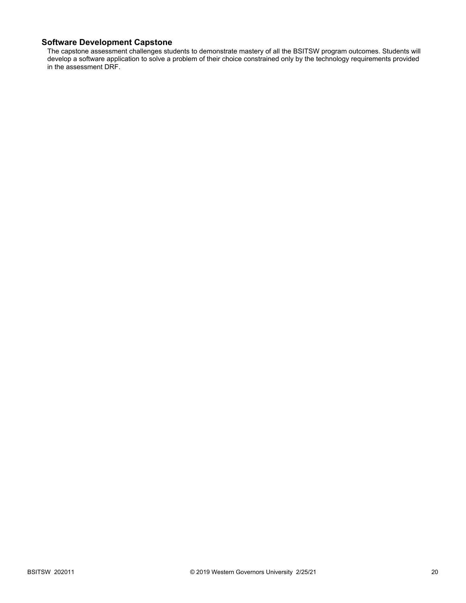### **Software Development Capstone**

The capstone assessment challenges students to demonstrate mastery of all the BSITSW program outcomes. Students will develop a software application to solve a problem of their choice constrained only by the technology requirements provided in the assessment DRF.